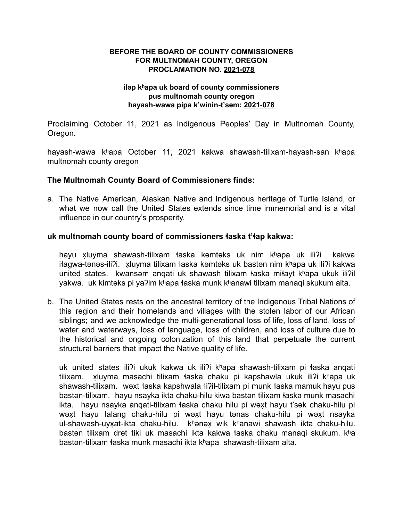## **BEFORE THE BOARD OF COUNTY COMMISSIONERS FOR MULTNOMAH COUNTY, OREGON PROCLAMATION NO. 2021-078**

## **iləp kʰapa uk board of county commissioners pus multnomah county oregon hayash-wawa pipa k'winin-t'səm: 2021-078**

Proclaiming October 11, 2021 as Indigenous Peoples' Day in Multnomah County, Oregon.

hayash-wawa kʰapa October 11, 2021 kakwa shawash-tilixam-hayash-san kʰapa multnomah county oregon

## **The Multnomah County Board of Commissioners finds:**

a. The Native American, Alaskan Native and Indigenous heritage of Turtle Island, or what we now call the United States extends since time immemorial and is a vital influence in our country's prosperity.

#### **uk multnomah county board of commissioners ɬaska t'ɬap kakwa:**

hayu xluyma ̣ shawash-tilixam ɬaska kəmtəks uk nim kʰapa uk iliʔi kakwa iɬagwa-tənəs-iliʔi. xluyma ̣ tilixam ɬaska kəmtəks uk bastən nim kʰapa uk iliʔi kakwa united states. kwansəm anqati uk shawash tilixam ɬaska miɬayt kʰapa ukuk iliʔil yakwa. uk kimtəks pi yaʔim kʰapa ɬaska munk kʰanawi tilixam manaqi skukum alta.

b. The United States rests on the ancestral territory of the Indigenous Tribal Nations of this region and their homelands and villages with the stolen labor of our African siblings; and we acknowledge the multi-generational loss of life, loss of land, loss of water and waterways, loss of language, loss of children, and loss of culture due to the historical and ongoing colonization of this land that perpetuate the current structural barriers that impact the Native quality of life.

uk united states iliʔi ukuk kakwa uk iliʔi kʰapa shawash-tilixam pi ɬaska anqati tilixam. xluyma masachi tilixam łaska chaku pi kapshawla ukuk ili?i khapa uk shawash-tilixam. wəxt taska kapshwala ti?il-tilixam pi munk taska mamuk hayu pus bastən-tilixam. hayu nsayka ikta chaku-hilu kiwa bastən tilixam ɬaska munk masachi ikta. hayu nsayka anqati-tilixam ɬaska chaku hilu pi wəxṭ hayu t'sək chaku-hilu pi wəxṭ hayu lalang chaku-hilu pi wəxṭ hayu tənas chaku-hilu pi wəxṭ nsayka ul-shawash-uyxat-ikta chaku-hilu. khənəx wik khanawi shawash ikta chaku-hilu. bastən tilixam dret tiki uk masachi ikta kakwa ɬaska chaku manaqi skukum. kʰa bastən-tilixam ɬaska munk masachi ikta kʰapa shawash-tilixam alta.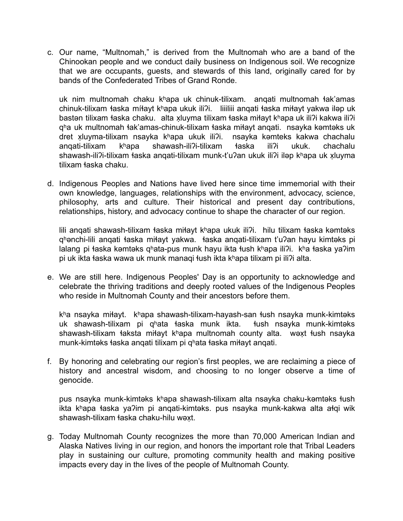c. Our name, "Multnomah," is derived from the Multnomah who are a band of the Chinookan people and we conduct daily business on Indigenous soil. We recognize that we are occupants, guests, and stewards of this land, originally cared for by bands of the Confederated Tribes of Grand Ronde.

uk nim multnomah chaku kʰapa uk chinuk-tilixam. anqati multnomah ɬak'amas chinuk-tilixam łaska míłayt khapa ukuk ili?i. liiiliii anqati łaska miłayt yakwa iləp uk bastən tilixam łaska chaku. alta xluyma tilixam łaska miłayt khapa uk ili?i kakwa ili?i qʰa uk multnomah ɬak'amas-chinuk-tilixam ɬaska miɬayt anqati. nsayka kəmtəks uk dret xluyma-tilixam nsayka khapa ukuk ili?i. nsayka kəmteks kakwa chachalu anqati-tilixam kʰapa shawash-iliʔi-tilixam ɬaska iliʔi ukuk. chachalu shawash-iliʔi-tilixam łaska anqati-tilixam munk-t'uʔan ukuk iliʔi iləp kʰapa uk xluyma tilixam ɬaska chaku.

d. Indigenous Peoples and Nations have lived here since time immemorial with their own knowledge, languages, relationships with the environment, advocacy, science, philosophy, arts and culture. Their historical and present day contributions, relationships, history, and advocacy continue to shape the character of our region.

lili anqati shawash-tilixam ɬaska miɬayt kʰapa ukuk iliʔi. hilu tilixam ɬaska kəmtəks qʰənchi-lili anqati ɬaska miɬayt yakwa. ɬaska anqati-tilixam t'uʔan hayu kimtəks pi lalang pi ɬaska kəmtəks qʰata-pus munk hayu ikta ɬush kʰapa iliʔi. kʰa ɬaska yaʔim pi uk ikta ɬaska wawa uk munk manaqi ɬush ikta kʰapa tilixam pi iliʔi alta.

e. We are still here. Indigenous Peoples' Day is an opportunity to acknowledge and celebrate the thriving traditions and deeply rooted values of the Indigenous Peoples who reside in Multnomah County and their ancestors before them.

kʰa nsayka miɬayt. kʰapa shawash-tilixam-hayash-san ɬush nsayka munk-kimtəks uk shawash-tilixam pi qhata taska munk ikta. tush nsayka munk-kimtəks shawash-tilixam łaksta miłayt khapa multnomah county alta. wext łush nsayka munk-kimtəks ɬaska anqati tilixam pi qʰata ɬaska miɬayt anqati.

f. By honoring and celebrating our region's first peoples, we are reclaiming a piece of history and ancestral wisdom, and choosing to no longer observe a time of genocide.

pus nsayka munk-kimtəks kʰapa shawash-tilixam alta nsayka chaku-kəmtəks ɬush ikta kʰapa ɬaska yaʔim pi anqati-kimtəks. pus nsayka munk-kakwa alta aɬqi wik shawash-tilixam laska chaku-hilu wəxt.

g. Today Multnomah County recognizes the more than 70,000 American Indian and Alaska Natives living in our region, and honors the important role that Tribal Leaders play in sustaining our culture, promoting community health and making positive impacts every day in the lives of the people of Multnomah County.